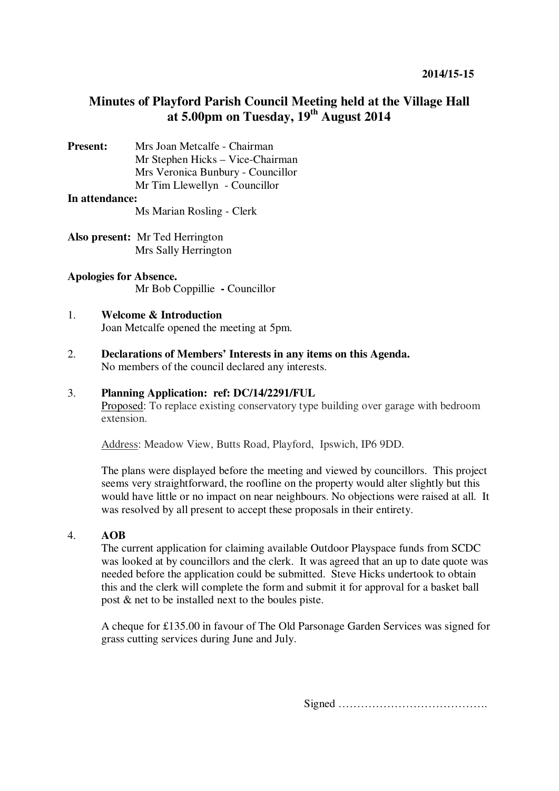## **Minutes of Playford Parish Council Meeting held at the Village Hall at 5.00pm on Tuesday, 19th August 2014**

**Present:** Mrs Joan Metcalfe - Chairman Mr Stephen Hicks – Vice-Chairman Mrs Veronica Bunbury - Councillor Mr Tim Llewellyn- Councillor

#### **In attendance:**

Ms Marian Rosling - Clerk

**Also present:** Mr Ted Herrington Mrs Sally Herrington

### **Apologies for Absence.** Mr Bob Coppillie **-** Councillor

#### 1. **Welcome & Introduction**  Joan Metcalfe opened the meeting at 5pm.

2. **Declarations of Members' Interests in any items on this Agenda.**  No members of the council declared any interests.

#### 3. **Planning Application: ref: DC/14/2291/FUL**

Proposed: To replace existing conservatory type building over garage with bedroom extension.

Address: Meadow View, Butts Road, Playford, Ipswich, IP6 9DD.

The plans were displayed before the meeting and viewed by councillors. This project seems very straightforward, the roofline on the property would alter slightly but this would have little or no impact on near neighbours. No objections were raised at all. It was resolved by all present to accept these proposals in their entirety.

#### 4. **AOB**

The current application for claiming available Outdoor Playspace funds from SCDC was looked at by councillors and the clerk. It was agreed that an up to date quote was needed before the application could be submitted. Steve Hicks undertook to obtain this and the clerk will complete the form and submit it for approval for a basket ball post & net to be installed next to the boules piste.

A cheque for £135.00 in favour of The Old Parsonage Garden Services was signed for grass cutting services during June and July.

Signed ………………………………….